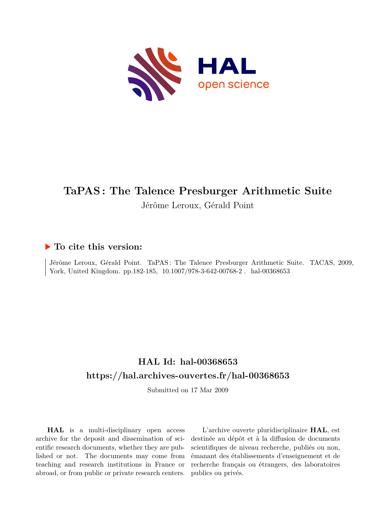

# **TaPAS : The Talence Presburger Arithmetic Suite** Jérôme Leroux, Gérald Point

## **To cite this version:**

Jérôme Leroux, Gérald Point. TaPAS: The Talence Presburger Arithmetic Suite. TACAS, 2009, York, United Kingdom. pp.182-185, 10.1007/978-3-642-00768-2. hal-00368653

## **HAL Id: hal-00368653 <https://hal.archives-ouvertes.fr/hal-00368653>**

Submitted on 17 Mar 2009

**HAL** is a multi-disciplinary open access archive for the deposit and dissemination of scientific research documents, whether they are published or not. The documents may come from teaching and research institutions in France or abroad, or from public or private research centers.

L'archive ouverte pluridisciplinaire **HAL**, est destinée au dépôt et à la diffusion de documents scientifiques de niveau recherche, publiés ou non, émanant des établissements d'enseignement et de recherche français ou étrangers, des laboratoires publics ou privés.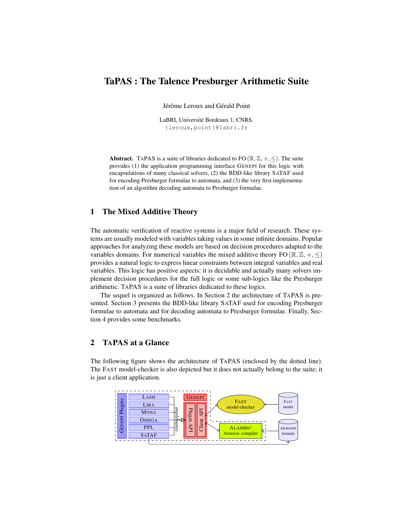## TaPAS : The Talence Presburger Arithmetic Suite

Jérôme Leroux and Gérald Point

LaBRI, Université Bordeaux 1, CNRS. {leroux,point}@labri.fr

Abstract. TAPAS is a suite of libraries dedicated to FO  $(\mathbb{R}, \mathbb{Z}, +, \le)$ . The suite provides (1) the application programming interface GENEPI for this logic with encapsulations of many classical solvers, (2) the BDD-like library SATAF used for encoding Presburger formulae to automata, and (3) the very first implementation of an algorithm decoding automata to Presburger formulae.

## 1 The Mixed Additive Theory

The automatic verification of reactive systems is a major field of research. These systems are usually modeled with variables taking values in some infinite domains. Popular approaches for analyzing these models are based on decision procedures adapted to the variables domains. For numerical variables the mixed additive theory FO ( $\mathbb{R}, \mathbb{Z}, +, \leq$ ) provides a natural logic to express linear constraints between integral variables and real variables. This logic has positive aspects: it is decidable and actually many solvers implement decision procedures for the full logic or some sub-logics like the Presburger arithmetic. TAPAS is a suite of libraries dedicated to these logics.

The sequel is organized as follows. In Section 2 the architecture of TAPAS is presented. Section 3 presents the BDD-like library SATAF used for encoding Presburger formulae to automata and for decoding automata to Presburger formulae. Finally, Section 4 provides some benchmarks.

## 2 TAPAS at a Glance

The following figure shows the architecture of TAPAS (enclosed by the dotted line). The FAST model-checker is also depicted but it does not actually belong to the suite; it is just a client application.

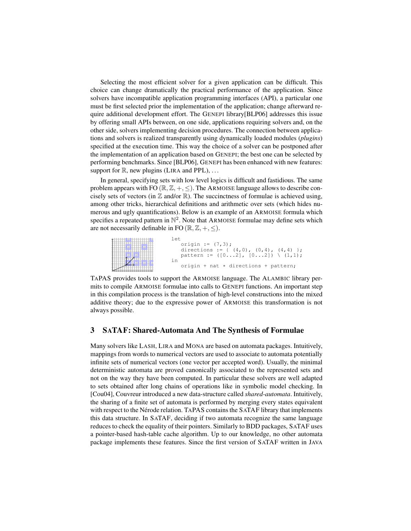Selecting the most efficient solver for a given application can be difficult. This choice can change dramatically the practical performance of the application. Since solvers have incompatible application programming interfaces (API), a particular one must be first selected prior the implementation of the application; change afterward require additional development effort. The GENEPI library[BLP06] addresses this issue by offering small APIs between, on one side, applications requiring solvers and, on the other side, solvers implementing decision procedures. The connection between applications and solvers is realized transparently using dynamically loaded modules (*plugins*) specified at the execution time. This way the choice of a solver can be postponed after the implementation of an application based on GENEPI; the best one can be selected by performing benchmarks. Since [BLP06], GENEPI has been enhanced with new features: support for  $\mathbb R$ , new plugins (LIRA and PPL), ...

In general, specifying sets with low level logics is difficult and fastidious. The same problem appears with FO  $(\mathbb{R}, \mathbb{Z}, +, \le)$ . The ARMOISE language allows to describe concisely sets of vectors (in  $\mathbb Z$  and/or  $\mathbb R$ ). The succinctness of formulae is achieved using, among other tricks, hierarchical definitions and arithmetic over sets (which hides numerous and ugly quantifications). Below is an example of an ARMOISE formula which specifies a repeated pattern in  $\mathbb{N}^2$ . Note that ARMOISE formulae may define sets which are not necessarily definable in FO  $(\mathbb{R}, \mathbb{Z}, +, \le)$ .



TAPAS provides tools to support the ARMOISE language. The ALAMBIC library permits to compile ARMOISE formulae into calls to GENEPI functions. An important step in this compilation process is the translation of high-level constructions into the mixed additive theory; due to the expressive power of ARMOISE this transformation is not always possible.

### 3 SATAF: Shared-Automata And The Synthesis of Formulae

Many solvers like LASH, LIRA and MONA are based on automata packages. Intuitively, mappings from words to numerical vectors are used to associate to automata potentially infinite sets of numerical vectors (one vector per accepted word). Usually, the minimal deterministic automata are proved canonically associated to the represented sets and not on the way they have been computed. In particular these solvers are well adapted to sets obtained after long chains of operations like in symbolic model checking. In [Cou04], Couvreur introduced a new data-structure called *shared-automata*. Intuitively, the sharing of a finite set of automata is performed by merging every states equivalent with respect to the Nérode relation. TAPAS contains the SATAF library that implements this data structure. In SATAF, deciding if two automata recognize the same language reduces to check the equality of their pointers. Similarly to BDD packages, SATAF uses a pointer-based hash-table cache algorithm. Up to our knowledge, no other automata package implements these features. Since the first version of SATAF written in JAVA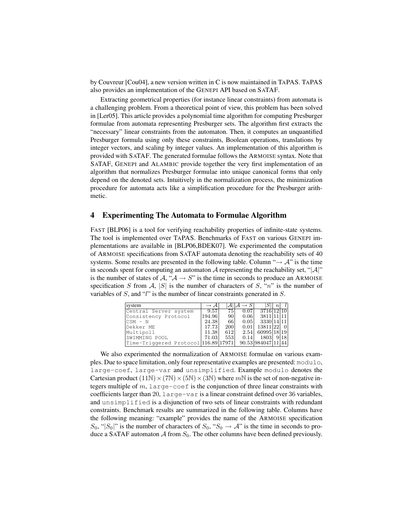by Couvreur [Cou04], a new version written in C is now maintained in TAPAS. TAPAS also provides an implementation of the GENEPI API based on SATAF.

Extracting geometrical properties (for instance linear constraints) from automata is a challenging problem. From a theoretical point of view, this problem has been solved in [Ler05]. This article provides a polynomial time algorithm for computing Presburger formulae from automata representing Presburger sets. The algorithm first extracts the "necessary" linear constraints from the automaton. Then, it computes an unquantified Presburger formula using only these constraints, Boolean operations, translations by integer vectors, and scaling by integer values. An implementation of this algorithm is provided with SATAF. The generated formulae follows the ARMOISE syntax. Note that SATAF, GENEPI and ALAMBIC provide together the very first implementation of an algorithm that normalizes Presburger formulae into unique canonical forms that only depend on the denoted sets. Intuitively in the normalization process, the minimization procedure for automata acts like a simplification procedure for the Presburger arithmetic.

### 4 Experimenting The Automata to Formulae Algorithm

FAST [BLP06] is a tool for verifying reachability properties of infinite-state systems. The tool is implemented over TAPAS. Benchmarks of FAST on various GENEPI implementations are available in [BLP06,BDEK07]. We experimented the computation of ARMOISE specifications from SATAF automata denoting the reachability sets of 40 systems. Some results are presented in the following table. Column " $\rightarrow$  A" is the time in seconds spent for computing an automaton  $A$  representing the reachability set, " $|A|$ " is the number of states of  $A, "A \rightarrow S"$  is the time in seconds to produce an ARMOISE specification S from A, |S| is the number of characters of S, "n" is the number of variables of S, and "l" is the number of linear constraints generated in S.

| system                               | $\rightarrow$ A |     |      |                    | $\, n \,$ |      |
|--------------------------------------|-----------------|-----|------|--------------------|-----------|------|
| Central Server system                | 9.57            | 75  | 0.07 | 3716 12 10         |           |      |
| Consistency Protocol                 | 194.96          | 90  | 0.06 | 3811 11 11         |           |      |
| CSM - N                              | 24.38           | 66  | 0.05 | - 3330 14 11 1     |           |      |
| Dekker ME                            | 17.73           | 200 | 0.01 | 13811 22 0         |           |      |
| Multipoll                            | 11.38           | 612 | 2.54 | 60995 18 19        |           |      |
| SWIMMING POOL                        | 71.03           | 553 | 0.14 | 1803               |           | 9 18 |
| Time-Triggered Protocol 116.89 17971 |                 |     |      | 90.53 984047 11 44 |           |      |

We also experimented the normalization of ARMOISE formulae on various examples. Due to space limitation, only four representative examples are presented: modulo, large-coef, large-var and unsimplified. Example modulo denotes the Cartesian product  $(11\mathbb{N}) \times (7\mathbb{N}) \times (5\mathbb{N}) \times (3\mathbb{N})$  where  $m\mathbb{N}$  is the set of non-negative integers multiple of  $m$ , large-coef is the conjunction of three linear constraints with coefficients larger than 20, large-var is a linear constraint defined over 36 variables, and unsimplified is a disjunction of two sets of linear constraints with redundant constraints. Benchmark results are summarized in the following table. Columns have the following meaning: "example" provides the name of the ARMOISE specification  $S_0$ , " $|S_0|$ " is the number of characters of  $S_0$ , " $S_0 \rightarrow A$ " is the time in seconds to produce a SATAF automaton  $A$  from  $S_0$ . The other columns have been defined previously.